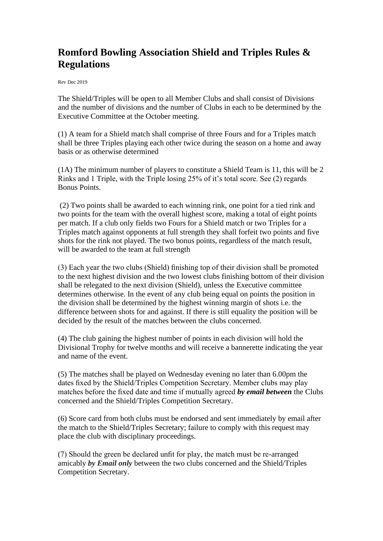## **Romford Bowling Association Shield and Triples Rules & Regulations**

Rev Dec 2019

The Shield/Triples will be open to all Member Clubs and shall consist of Divisions and the number of divisions and the number of Clubs in each to be determined by the Executive Committee at the October meeting.

(1) A team for a Shield match shall comprise of three Fours and for a Triples match shall be three Triples playing each other twice during the season on a home and away basis or as otherwise determined

(1A) The minimum number of players to constitute a Shield Team is 11, this will be 2 Rinks and 1 Triple, with the Triple losing 25% of it's total score. See (2) regards Bonus Points.

(2) Two points shall be awarded to each winning rink, one point for a tied rink and two points for the team with the overall highest score, making a total of eight points per match. If a club only fields two Fours for a Shield match or two Triples for a Triples match against opponents at full strength they shall forfeit two points and five shots for the rink not played. The two bonus points, regardless of the match result, will be awarded to the team at full strength

(3) Each year the two clubs (Shield) finishing top of their division shall be promoted to the next highest division and the two lowest clubs finishing bottom of their division shall be relegated to the next division (Shield), unless the Executive committee determines otherwise. In the event of any club being equal on points the position in the division shall be determined by the highest winning margin of shots i.e. the difference between shots for and against. If there is still equality the position will be decided by the result of the matches between the clubs concerned.

(4) The club gaining the highest number of points in each division will hold the Divisional Trophy for twelve months and will receive a bannerette indicating the year and name of the event.

(5) The matches shall be played on Wednesday evening no later than 6.00pm the dates fixed by the Shield/Triples Competition Secretary. Member clubs may play matches before the fixed date and time if mutually agreed *by email between* the Clubs concerned and the Shield/Triples Competition Secretary.

(6) Score card from both clubs must be endorsed and sent immediately by email after the match to the Shield/Triples Secretary; failure to comply with this request may place the club with disciplinary proceedings.

(7) Should the green be declared unfit for play, the match must be re-arranged amicably *by Email only* between the two clubs concerned and the Shield/Triples Competition Secretary.